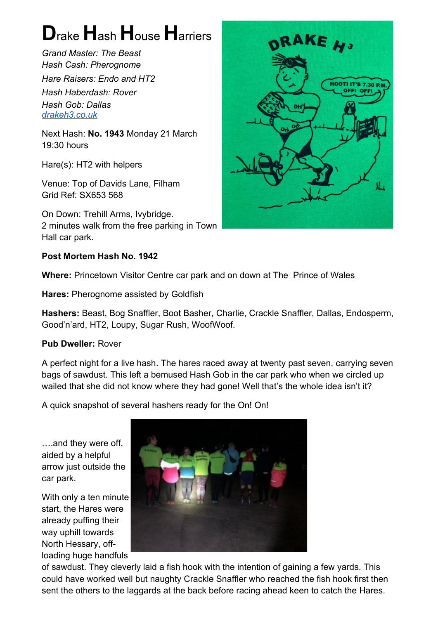## **D**rake **H**ash **H**ouse **H**arriers

*Grand Master: The Beast Hash Cash: Pherognome Hare Raisers: Endo and HT2 Hash Haberdash: Rover Hash Gob: Dallas [drakeh3.co.uk](http://drakeh3.co.uk/)*

Next Hash: **No. 1943** Monday 21 March 19:30 hours

Hare(s): HT2 with helpers

Venue: Top of Davids Lane, Filham Grid Ref: SX653 568

On Down: Trehill Arms, Ivybridge. 2 minutes walk from the free parking in Town Hall car park.

## **Post Mortem Hash No. 1942**

**Where:** Princetown Visitor Centre car park and on down at The Prince of Wales

**Hares:** Pherognome assisted by Goldfish

**Hashers:** Beast, Bog Snaffler, Boot Basher, Charlie, Crackle Snaffler, Dallas, Endosperm, Good'n'ard, HT2, Loupy, Sugar Rush, WoofWoof.

## **Pub Dweller:** Rover

A perfect night for a live hash. The hares raced away at twenty past seven, carrying seven bags of sawdust. This left a bemused Hash Gob in the car park who when we circled up wailed that she did not know where they had gone! Well that's the whole idea isn't it?

A quick snapshot of several hashers ready for the On! On!

….and they were off, aided by a helpful arrow just outside the car park.

With only a ten minute start, the Hares were already puffing their way uphill towards North Hessary, offloading huge handfuls



of sawdust. They cleverly laid a fish hook with the intention of gaining a few yards. This could have worked well but naughty Crackle Snaffler who reached the fish hook first then sent the others to the laggards at the back before racing ahead keen to catch the Hares.